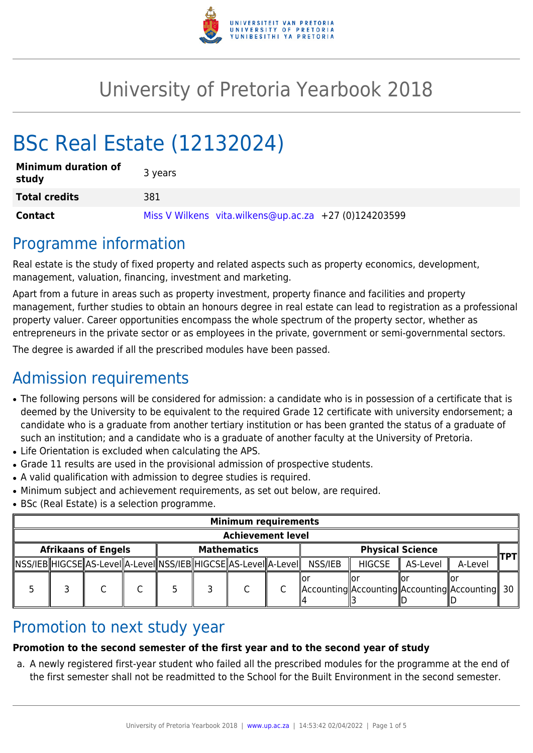

# University of Pretoria Yearbook 2018

# BSc Real Estate (12132024)

| <b>Minimum duration of</b><br>study | 3 years                                               |
|-------------------------------------|-------------------------------------------------------|
| <b>Total credits</b>                | 381                                                   |
| <b>Contact</b>                      | Miss V Wilkens vita.wilkens@up.ac.za +27 (0)124203599 |

## Programme information

Real estate is the study of fixed property and related aspects such as property economics, development, management, valuation, financing, investment and marketing.

Apart from a future in areas such as property investment, property finance and facilities and property management, further studies to obtain an honours degree in real estate can lead to registration as a professional property valuer. Career opportunities encompass the whole spectrum of the property sector, whether as entrepreneurs in the private sector or as employees in the private, government or semi-governmental sectors.

The degree is awarded if all the prescribed modules have been passed.

# Admission requirements

- The following persons will be considered for admission: a candidate who is in possession of a certificate that is deemed by the University to be equivalent to the required Grade 12 certificate with university endorsement; a candidate who is a graduate from another tertiary institution or has been granted the status of a graduate of such an institution; and a candidate who is a graduate of another faculty at the University of Pretoria.
- Life Orientation is excluded when calculating the APS.
- Grade 11 results are used in the provisional admission of prospective students.
- A valid qualification with admission to degree studies is required.
- Minimum subject and achievement requirements, as set out below, are required.
- BSc (Real Estate) is a selection programme.

|                            | <b>Minimum requirements</b> |                                                                        |  |                    |  |  |                         |         |               |                      |                                                     |  |  |  |
|----------------------------|-----------------------------|------------------------------------------------------------------------|--|--------------------|--|--|-------------------------|---------|---------------|----------------------|-----------------------------------------------------|--|--|--|
| <b>Achievement level</b>   |                             |                                                                        |  |                    |  |  |                         |         |               |                      |                                                     |  |  |  |
| <b>Afrikaans of Engels</b> |                             |                                                                        |  | <b>Mathematics</b> |  |  | <b>Physical Science</b> |         |               |                      | TPTI                                                |  |  |  |
|                            |                             | NSS/IEB  HIGCSE  AS-LeveI  A-LeveI  NSS/IEB  HIGCSE  AS-LeveI  A-LeveI |  |                    |  |  |                         | NSS/IEB | <b>HIGCSE</b> | $\parallel$ AS-Level | A-Level                                             |  |  |  |
|                            |                             |                                                                        |  |                    |  |  |                         |         |               |                      | Accounting  Accounting  Accounting  Accounting   30 |  |  |  |

## Promotion to next study year

### **Promotion to the second semester of the first year and to the second year of study**

a. A newly registered first-year student who failed all the prescribed modules for the programme at the end of the first semester shall not be readmitted to the School for the Built Environment in the second semester.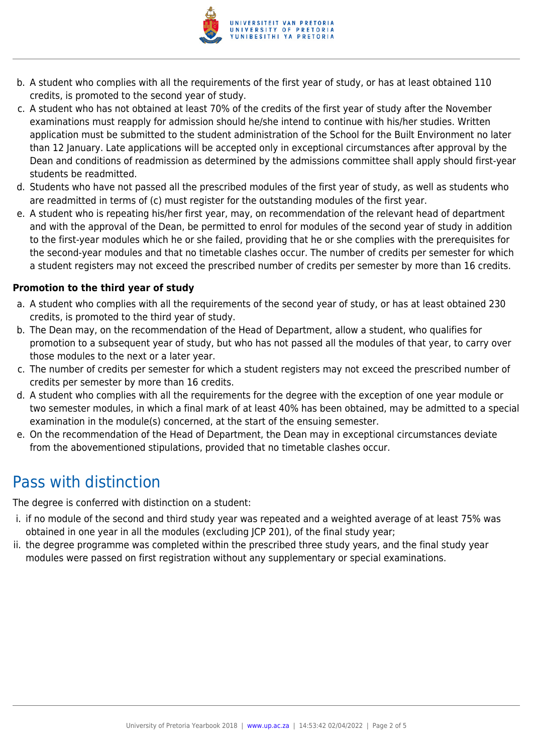

- b. A student who complies with all the requirements of the first year of study, or has at least obtained 110 credits, is promoted to the second year of study.
- c. A student who has not obtained at least 70% of the credits of the first year of study after the November examinations must reapply for admission should he/she intend to continue with his/her studies. Written application must be submitted to the student administration of the School for the Built Environment no later than 12 January. Late applications will be accepted only in exceptional circumstances after approval by the Dean and conditions of readmission as determined by the admissions committee shall apply should first-year students be readmitted.
- d. Students who have not passed all the prescribed modules of the first year of study, as well as students who are readmitted in terms of (c) must register for the outstanding modules of the first year.
- e. A student who is repeating his/her first year, may, on recommendation of the relevant head of department and with the approval of the Dean, be permitted to enrol for modules of the second year of study in addition to the first-year modules which he or she failed, providing that he or she complies with the prerequisites for the second-year modules and that no timetable clashes occur. The number of credits per semester for which a student registers may not exceed the prescribed number of credits per semester by more than 16 credits.

#### **Promotion to the third year of study**

- a. A student who complies with all the requirements of the second year of study, or has at least obtained 230 credits, is promoted to the third year of study.
- b. The Dean may, on the recommendation of the Head of Department, allow a student, who qualifies for promotion to a subsequent year of study, but who has not passed all the modules of that year, to carry over those modules to the next or a later year.
- c. The number of credits per semester for which a student registers may not exceed the prescribed number of credits per semester by more than 16 credits.
- d. A student who complies with all the requirements for the degree with the exception of one year module or two semester modules, in which a final mark of at least 40% has been obtained, may be admitted to a special examination in the module(s) concerned, at the start of the ensuing semester.
- e. On the recommendation of the Head of Department, the Dean may in exceptional circumstances deviate from the abovementioned stipulations, provided that no timetable clashes occur.

## Pass with distinction

The degree is conferred with distinction on a student:

- i. if no module of the second and third study year was repeated and a weighted average of at least 75% was obtained in one year in all the modules (excluding JCP 201), of the final study year;
- ii. the degree programme was completed within the prescribed three study years, and the final study year modules were passed on first registration without any supplementary or special examinations.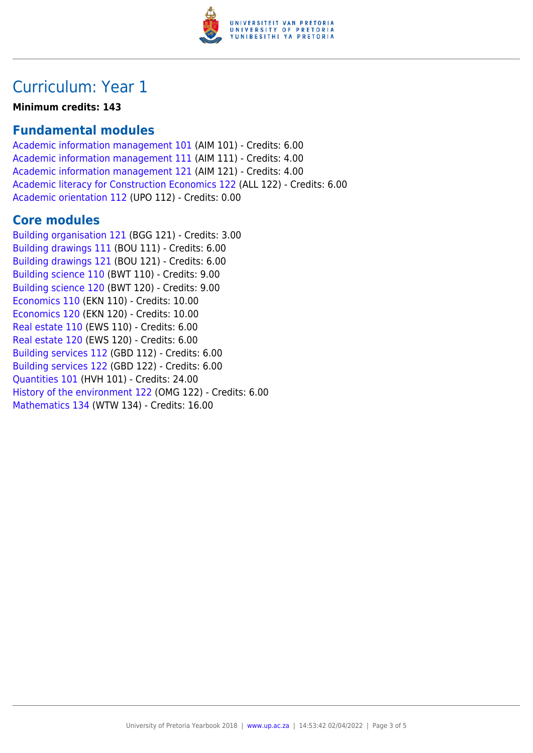

## Curriculum: Year 1

**Minimum credits: 143**

## **Fundamental modules**

[Academic information management 101](https://www.up.ac.za/faculty-of-education/yearbooks/2018/modules/view/AIM 101) (AIM 101) - Credits: 6.00 [Academic information management 111](https://www.up.ac.za/faculty-of-education/yearbooks/2018/modules/view/AIM 111) (AIM 111) - Credits: 4.00 [Academic information management 121](https://www.up.ac.za/faculty-of-education/yearbooks/2018/modules/view/AIM 121) (AIM 121) - Credits: 4.00 [Academic literacy for Construction Economics 122](https://www.up.ac.za/faculty-of-education/yearbooks/2018/modules/view/ALL 122) (ALL 122) - Credits: 6.00 [Academic orientation 112](https://www.up.ac.za/faculty-of-education/yearbooks/2018/modules/view/UPO 112) (UPO 112) - Credits: 0.00

### **Core modules**

[Building organisation 121](https://www.up.ac.za/faculty-of-education/yearbooks/2018/modules/view/BGG 121) (BGG 121) - Credits: 3.00 [Building drawings 111](https://www.up.ac.za/faculty-of-education/yearbooks/2018/modules/view/BOU 111) (BOU 111) - Credits: 6.00 [Building drawings 121](https://www.up.ac.za/faculty-of-education/yearbooks/2018/modules/view/BOU 121) (BOU 121) - Credits: 6.00 [Building science 110](https://www.up.ac.za/faculty-of-education/yearbooks/2018/modules/view/BWT 110) (BWT 110) - Credits: 9.00 [Building science 120](https://www.up.ac.za/faculty-of-education/yearbooks/2018/modules/view/BWT 120) (BWT 120) - Credits: 9.00 [Economics 110](https://www.up.ac.za/faculty-of-education/yearbooks/2018/modules/view/EKN 110) (EKN 110) - Credits: 10.00 [Economics 120](https://www.up.ac.za/faculty-of-education/yearbooks/2018/modules/view/EKN 120) (EKN 120) - Credits: 10.00 [Real estate 110](https://www.up.ac.za/faculty-of-education/yearbooks/2018/modules/view/EWS 110) (EWS 110) - Credits: 6.00 [Real estate 120](https://www.up.ac.za/faculty-of-education/yearbooks/2018/modules/view/EWS 120) (EWS 120) - Credits: 6.00 [Building services 112](https://www.up.ac.za/faculty-of-education/yearbooks/2018/modules/view/GBD 112) (GBD 112) - Credits: 6.00 [Building services 122](https://www.up.ac.za/faculty-of-education/yearbooks/2018/modules/view/GBD 122) (GBD 122) - Credits: 6.00 [Quantities 101](https://www.up.ac.za/faculty-of-education/yearbooks/2018/modules/view/HVH 101) (HVH 101) - Credits: 24.00 [History of the environment 122](https://www.up.ac.za/faculty-of-education/yearbooks/2018/modules/view/OMG 122) (OMG 122) - Credits: 6.00 [Mathematics 134](https://www.up.ac.za/faculty-of-education/yearbooks/2018/modules/view/WTW 134) (WTW 134) - Credits: 16.00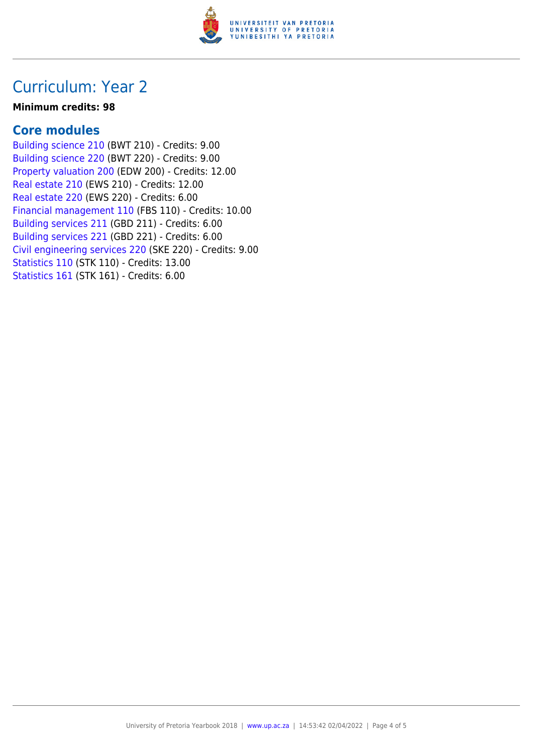

## Curriculum: Year 2

#### **Minimum credits: 98**

### **Core modules**

[Building science 210](https://www.up.ac.za/faculty-of-education/yearbooks/2018/modules/view/BWT 210) (BWT 210) - Credits: 9.00 [Building science 220](https://www.up.ac.za/faculty-of-education/yearbooks/2018/modules/view/BWT 220) (BWT 220) - Credits: 9.00 [Property valuation 200](https://www.up.ac.za/faculty-of-education/yearbooks/2018/modules/view/EDW 200) (EDW 200) - Credits: 12.00 [Real estate 210](https://www.up.ac.za/faculty-of-education/yearbooks/2018/modules/view/EWS 210) (EWS 210) - Credits: 12.00 [Real estate 220](https://www.up.ac.za/faculty-of-education/yearbooks/2018/modules/view/EWS 220) (EWS 220) - Credits: 6.00 [Financial management 110](https://www.up.ac.za/faculty-of-education/yearbooks/2018/modules/view/FBS 110) (FBS 110) - Credits: 10.00 [Building services 211](https://www.up.ac.za/faculty-of-education/yearbooks/2018/modules/view/GBD 211) (GBD 211) - Credits: 6.00 [Building services 221](https://www.up.ac.za/faculty-of-education/yearbooks/2018/modules/view/GBD 221) (GBD 221) - Credits: 6.00 [Civil engineering services 220](https://www.up.ac.za/faculty-of-education/yearbooks/2018/modules/view/SKE 220) (SKE 220) - Credits: 9.00 [Statistics 110](https://www.up.ac.za/faculty-of-education/yearbooks/2018/modules/view/STK 110) (STK 110) - Credits: 13.00 [Statistics 161](https://www.up.ac.za/faculty-of-education/yearbooks/2018/modules/view/STK 161) (STK 161) - Credits: 6.00